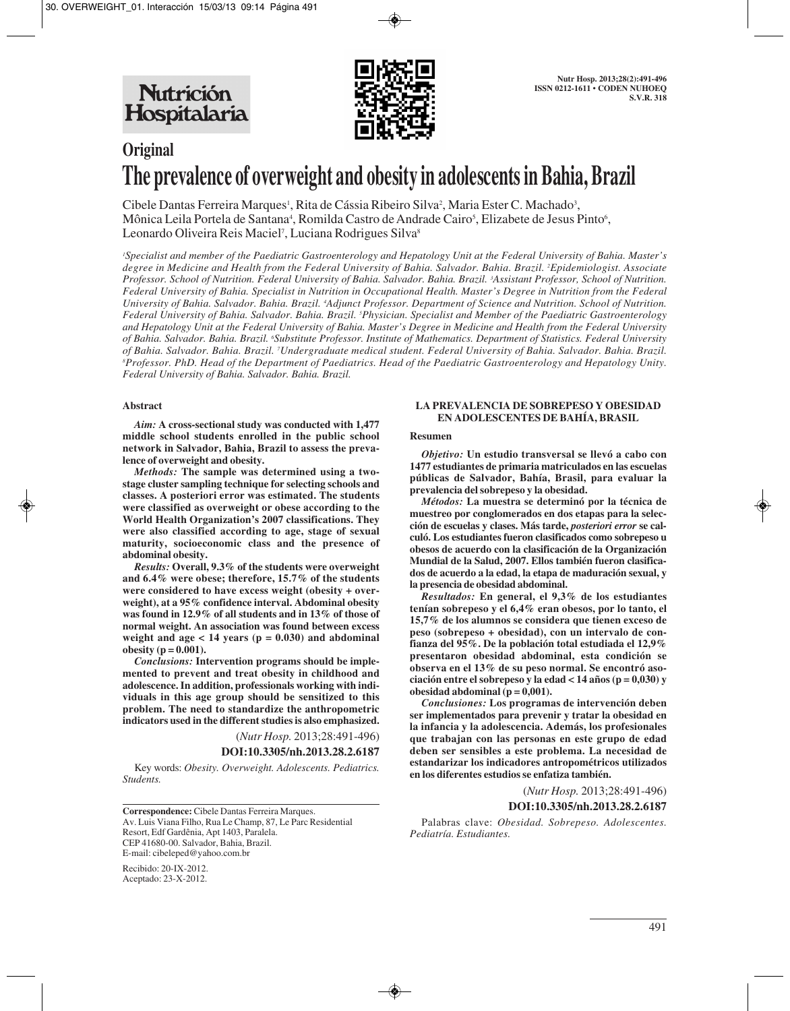

# **Original The prevalence of overweight and obesity in adolescents in Bahia, Brazil**

Cibele Dantas Ferreira Marques<sup>1</sup>, Rita de Cássia Ribeiro Silva<sup>2</sup>, Maria Ester C. Machado<sup>3</sup>, Mônica Leila Portela de Santana<sup>4</sup>, Romilda Castro de Andrade Cairo<sup>5</sup>, Elizabete de Jesus Pinto<sup>6</sup>, Leonardo Oliveira Reis Maciel<sup>7</sup>, Luciana Rodrigues Silva<sup>s</sup>

*1 Specialist and member of the Paediatric Gastroenterology and Hepatology Unit at the Federal University of Bahia. Master's degree in Medicine and Health from the Federal University of Bahia. Salvador. Bahia. Brazil. 2 Epidemiologist. Associate Professor. School of Nutrition. Federal University of Bahia. Salvador. Bahia. Brazil. 3 Assistant Professor, School of Nutrition. Federal University of Bahia. Specialist in Nutrition in Occupational Health. Master's Degree in Nutrition from the Federal University of Bahia. Salvador. Bahia. Brazil. 4 Adjunct Professor. Department of Science and Nutrition. School of Nutrition. Federal University of Bahia. Salvador. Bahia. Brazil. 5 Physician. Specialist and Member of the Paediatric Gastroenterology and Hepatology Unit at the Federal University of Bahia. Master's Degree in Medicine and Health from the Federal University* of Bahia. Salvador. Bahia. Brazil. <sup>e</sup>Substitute Professor. Institute of Mathematics. Department of Statistics. Federal University *of Bahia. Salvador. Bahia. Brazil. 7 Undergraduate medical student. Federal University of Bahia. Salvador. Bahia. Brazil. 8 Professor. PhD. Head of the Department of Paediatrics. Head of the Paediatric Gastroenterology and Hepatology Unity. Federal University of Bahia. Salvador. Bahia. Brazil.*

## **Abstract**

*Aim:* **A cross-sectional study was conducted with 1,477 middle school students enrolled in the public school network in Salvador, Bahia, Brazil to assess the prevalence of overweight and obesity.** 

*Methods:* **The sample was determined using a twostage cluster sampling technique for selecting schools and classes. A posteriori error was estimated. The students were classified as overweight or obese according to the World Health Organization's 2007 classifications. They were also classified according to age, stage of sexual maturity, socioeconomic class and the presence of abdominal obesity.** 

*Results:* **Overall, 9.3% of the students were overweight and 6.4% were obese; therefore, 15.7% of the students were considered to have excess weight (obesity + overweight), at a 95% confidence interval. Abdominal obesity was found in 12.9% of all students and in 13% of those of normal weight. An association was found between excess** weight and  $\text{age} < 14 \text{ years}$  ( $\text{p} = 0.030$ ) and abdominal **obesity** ( $p = 0.001$ ).

*Conclusions:* **Intervention programs should be implemented to prevent and treat obesity in childhood and adolescence. In addition, professionals working with individuals in this age group should be sensitized to this problem. The need to standardize the anthropometric indicators used in the different studies is also emphasized.**

(*Nutr Hosp.* 2013;28:491-496)

### **DOI:10.3305/nh.2013.28.2.6187**

Key words: *Obesity. Overweight. Adolescents. Pediatrics. Students.*

**Correspondence:** Cibele Dantas Ferreira Marques. Av. Luis Viana Filho, Rua Le Champ, 87, Le Parc Residential Resort, Edf Gardênia, Apt 1403, Paralela. CEP 41680-00. Salvador, Bahia, Brazil. E-mail: cibeleped@yahoo.com.br

Recibido: 20-IX-2012. Aceptado: 23-X-2012.

### **LA PREVALENCIA DE SOBREPESO Y OBESIDAD EN ADOLESCENTES DE BAHÍA, BRASIL**

## **Resumen**

*Objetivo:* **Un estudio transversal se llevó a cabo con 1477 estudiantes de primaria matriculados en las escuelas públicas de Salvador, Bahía, Brasil, para evaluar la prevalencia del sobrepeso y la obesidad.** 

*Métodos:* **La muestra se determinó por la técnica de muestreo por conglomerados en dos etapas para la selección de escuelas y clases. Más tarde,** *posteriori error* **se calculó. Los estudiantes fueron clasificados como sobrepeso u obesos de acuerdo con la clasificación de la Organización Mundial de la Salud, 2007. Ellos también fueron clasificados de acuerdo a la edad, la etapa de maduración sexual, y la presencia de obesidad abdominal.**

*Resultados:* **En general, el 9,3% de los estudiantes tenían sobrepeso y el 6,4% eran obesos, por lo tanto, el 15,7% de los alumnos se considera que tienen exceso de peso (sobrepeso + obesidad), con un intervalo de confianza del 95%. De la población total estudiada el 12,9% presentaron obesidad abdominal, esta condición se observa en el 13% de su peso normal. Se encontró asociación entre el sobrepeso y la edad < 14 años (p = 0,030) y obesidad abdominal (** $p = 0.001$ **).** 

*Conclusiones:* **Los programas de intervención deben ser implementados para prevenir y tratar la obesidad en la infancia y la adolescencia. Además, los profesionales que trabajan con las personas en este grupo de edad deben ser sensibles a este problema. La necesidad de estandarizar los indicadores antropométricos utilizados en los diferentes estudios se enfatiza también.**

(*Nutr Hosp.* 2013;28:491-496)

## **DOI:10.3305/nh.2013.28.2.6187**

Palabras clave: *Obesidad. Sobrepeso. Adolescentes. Pediatría. Estudiantes.*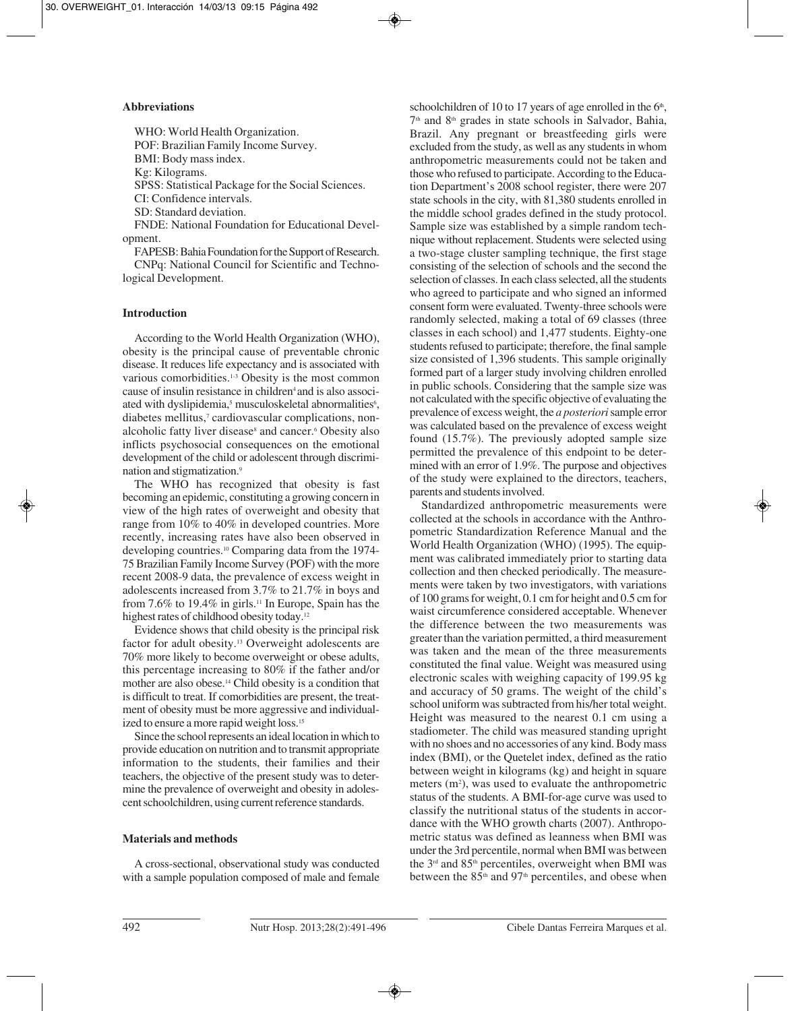## **Abbreviations**

WHO: World Health Organization. POF: Brazilian Family Income Survey. BMI: Body mass index.

Kg: Kilograms.

SPSS: Statistical Package for the Social Sciences.

CI: Confidence intervals.

SD: Standard deviation.

FNDE: National Foundation for Educational Development.

FAPESB: Bahia Foundation for the Support of Research. CNPq: National Council for Scientific and Technological Development.

## **Introduction**

According to the World Health Organization (WHO), obesity is the principal cause of preventable chronic disease. It reduces life expectancy and is associated with various comorbidities.<sup>1-3</sup> Obesity is the most common cause of insulin resistance in children<sup>4</sup> and is also associated with dyslipidemia,<sup>5</sup> musculoskeletal abnormalities<sup>6</sup>, diabetes mellitus,<sup>7</sup> cardiovascular complications, nonalcoholic fatty liver disease<sup>8</sup> and cancer.<sup>6</sup> Obesity also inflicts psychosocial consequences on the emotional development of the child or adolescent through discrimination and stigmatization.9

The WHO has recognized that obesity is fast becoming an epidemic, constituting a growing concern in view of the high rates of overweight and obesity that range from 10% to 40% in developed countries. More recently, increasing rates have also been observed in developing countries.10 Comparing data from the 1974- 75 Brazilian Family Income Survey (POF) with the more recent 2008-9 data, the prevalence of excess weight in adolescents increased from 3.7% to 21.7% in boys and from 7.6% to 19.4% in girls.<sup>11</sup> In Europe, Spain has the highest rates of childhood obesity today.<sup>12</sup>

Evidence shows that child obesity is the principal risk factor for adult obesity.13 Overweight adolescents are 70% more likely to become overweight or obese adults, this percentage increasing to 80% if the father and/or mother are also obese.14 Child obesity is a condition that is difficult to treat. If comorbidities are present, the treatment of obesity must be more aggressive and individualized to ensure a more rapid weight loss.<sup>15</sup>

Since the school represents an ideal location in which to provide education on nutrition and to transmit appropriate information to the students, their families and their teachers, the objective of the present study was to determine the prevalence of overweight and obesity in adolescent schoolchildren, using current reference standards.

## **Materials and methods**

A cross-sectional, observational study was conducted with a sample population composed of male and female schoolchildren of 10 to 17 years of age enrolled in the  $6<sup>th</sup>$ , 7th and 8th grades in state schools in Salvador, Bahia, Brazil. Any pregnant or breastfeeding girls were excluded from the study, as well as any students in whom anthropometric measurements could not be taken and those who refused to participate. According to the Education Department's 2008 school register, there were 207 state schools in the city, with 81,380 students enrolled in the middle school grades defined in the study protocol. Sample size was established by a simple random technique without replacement. Students were selected using a two-stage cluster sampling technique, the first stage consisting of the selection of schools and the second the selection of classes. In each class selected, all the students who agreed to participate and who signed an informed consent form were evaluated. Twenty-three schools were randomly selected, making a total of 69 classes (three classes in each school) and 1,477 students. Eighty-one students refused to participate; therefore, the final sample size consisted of 1,396 students. This sample originally formed part of a larger study involving children enrolled in public schools. Considering that the sample size was not calculated with the specific objective of evaluating the prevalence of excess weight, the *a posteriori* sample error was calculated based on the prevalence of excess weight found (15.7%). The previously adopted sample size permitted the prevalence of this endpoint to be determined with an error of 1.9%. The purpose and objectives of the study were explained to the directors, teachers, parents and students involved.

Standardized anthropometric measurements were collected at the schools in accordance with the Anthropometric Standardization Reference Manual and the World Health Organization (WHO) (1995). The equipment was calibrated immediately prior to starting data collection and then checked periodically. The measurements were taken by two investigators, with variations of 100 grams for weight, 0.1 cm for height and 0.5 cm for waist circumference considered acceptable. Whenever the difference between the two measurements was greater than the variation permitted, a third measurement was taken and the mean of the three measurements constituted the final value. Weight was measured using electronic scales with weighing capacity of 199.95 kg and accuracy of 50 grams. The weight of the child's school uniform was subtracted from his/her total weight. Height was measured to the nearest 0.1 cm using a stadiometer. The child was measured standing upright with no shoes and no accessories of any kind. Body mass index (BMI), or the Quetelet index, defined as the ratio between weight in kilograms (kg) and height in square meters (m<sup>2</sup>), was used to evaluate the anthropometric status of the students. A BMI-for-age curve was used to classify the nutritional status of the students in accordance with the WHO growth charts (2007). Anthropometric status was defined as leanness when BMI was under the 3rd percentile, normal when BMI was between the 3<sup>rd</sup> and 85<sup>th</sup> percentiles, overweight when BMI was between the 85<sup>th</sup> and 97<sup>th</sup> percentiles, and obese when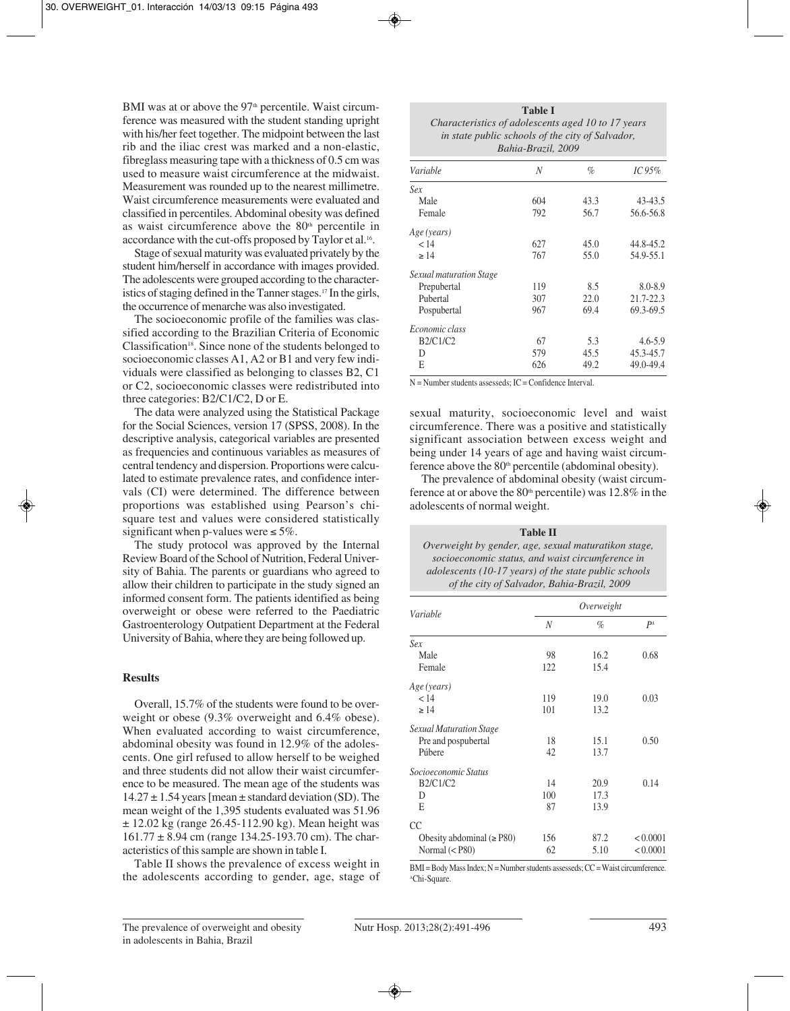BMI was at or above the  $97<sup>th</sup>$  percentile. Waist circumference was measured with the student standing upright with his/her feet together. The midpoint between the last rib and the iliac crest was marked and a non-elastic, fibreglass measuring tape with a thickness of 0.5 cm was used to measure waist circumference at the midwaist. Measurement was rounded up to the nearest millimetre. Waist circumference measurements were evaluated and classified in percentiles. Abdominal obesity was defined as waist circumference above the  $80<sup>th</sup>$  percentile in accordance with the cut-offs proposed by Taylor et al.16.

Stage of sexual maturity was evaluated privately by the student him/herself in accordance with images provided. The adolescents were grouped according to the characteristics of staging defined in the Tanner stages.<sup>17</sup> In the girls, the occurrence of menarche was also investigated.

The socioeconomic profile of the families was classified according to the Brazilian Criteria of Economic Classification<sup>18</sup>. Since none of the students belonged to socioeconomic classes A1, A2 or B1 and very few individuals were classified as belonging to classes B2, C1 or C2, socioeconomic classes were redistributed into three categories: B2/C1/C2, D or E.

The data were analyzed using the Statistical Package for the Social Sciences, version 17 (SPSS, 2008). In the descriptive analysis, categorical variables are presented as frequencies and continuous variables as measures of central tendency and dispersion. Proportions were calculated to estimate prevalence rates, and confidence intervals (CI) were determined. The difference between proportions was established using Pearson's chisquare test and values were considered statistically significant when p-values were  $\leq 5\%$ .

The study protocol was approved by the Internal Review Board of the School of Nutrition, Federal University of Bahia. The parents or guardians who agreed to allow their children to participate in the study signed an informed consent form. The patients identified as being overweight or obese were referred to the Paediatric Gastroenterology Outpatient Department at the Federal University of Bahia, where they are being followed up.

### **Results**

Overall, 15.7% of the students were found to be overweight or obese (9.3% overweight and 6.4% obese). When evaluated according to waist circumference, abdominal obesity was found in 12.9% of the adolescents. One girl refused to allow herself to be weighed and three students did not allow their waist circumference to be measured. The mean age of the students was  $14.27 \pm 1.54$  years [mean  $\pm$  standard deviation (SD). The mean weight of the 1,395 students evaluated was 51.96  $\pm$  12.02 kg (range 26.45-112.90 kg). Mean height was 161.77 ± 8.94 cm (range 134.25-193.70 cm). The characteristics of this sample are shown in table I.

Table II shows the prevalence of excess weight in the adolescents according to gender, age, stage of

| <b>Table I</b>                                     |  |  |  |
|----------------------------------------------------|--|--|--|
| Characteristics of adolescents aged 10 to 17 years |  |  |  |
| in state public schools of the city of Salvador,   |  |  |  |
| Bahia-Brazil, 2009                                 |  |  |  |

| Variable                | N   | $\%$ | IC95%       |
|-------------------------|-----|------|-------------|
| Sex                     |     |      |             |
| Male                    | 604 | 43.3 | 43-43.5     |
| Female                  | 792 | 56.7 | 56.6-56.8   |
| Age (years)             |     |      |             |
| < 14                    | 627 | 45.0 | 44.8-45.2   |
| $\geq$ 14               | 767 | 55.0 | 54.9-55.1   |
| Sexual maturation Stage |     |      |             |
| Prepubertal             | 119 | 8.5  | 8.0-8.9     |
| Pubertal                | 307 | 22.0 | 21.7-22.3   |
| Pospubertal             | 967 | 69.4 | 69.3-69.5   |
| Economic class          |     |      |             |
| B2/C1/C2                | 67  | 5.3  | $4.6 - 5.9$ |
| D                       | 579 | 45.5 | 45.3-45.7   |
| Е                       | 626 | 49.2 | 49.0-49.4   |
|                         |     |      |             |

N = Number students assesseds; IC = Confidence Interval.

sexual maturity, socioeconomic level and waist circumference. There was a positive and statistically significant association between excess weight and being under 14 years of age and having waist circumference above the  $80<sup>th</sup>$  percentile (abdominal obesity).

The prevalence of abdominal obesity (waist circumference at or above the  $80<sup>th</sup>$  percentile) was 12.8% in the adolescents of normal weight.

**Table II** *Overweight by gender, age, sexual maturatikon stage, socioeconomic status, and waist circumference in adolescents (10-17 years) of the state public schools of the city of Salvador, Bahia-Brazil, 2009*

| Variable                       | Overweight |      |                |
|--------------------------------|------------|------|----------------|
|                                | N          | %    | P <sup>A</sup> |
| Sex                            |            |      |                |
| Male                           | 98         | 16.2 | 0.68           |
| Female                         | 122        | 15.4 |                |
| Age (years)                    |            |      |                |
| < 14                           | 119        | 19.0 | 0.03           |
| $\geq 14$                      | 101        | 13.2 |                |
| Sexual Maturation Stage        |            |      |                |
| Pre and pospubertal            | 18         | 15.1 | 0.50           |
| Púbere                         | 42         | 13.7 |                |
| Socioeconomic Status           |            |      |                |
| <b>B2/C1/C2</b>                | 14         | 20.9 | 0.14           |
| D                              | 100        | 17.3 |                |
| E                              | 87         | 13.9 |                |
| CC                             |            |      |                |
| Obesity abdominal $(\geq P80)$ | 156        | 87.2 | < 0.0001       |
| Normal $(P80)$                 | 62         | 5.10 | < 0.0001       |

BMI = Body Mass Index; N = Number students assesseds; CC = Waist circumference. AChi-Square.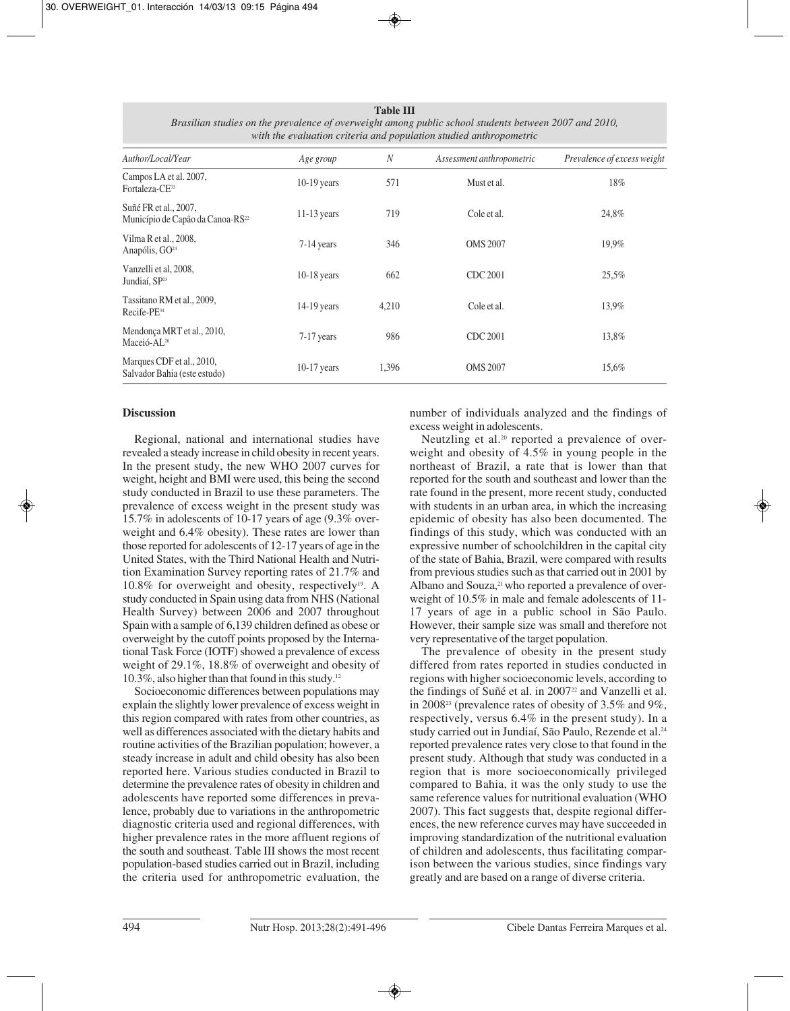| with the evaluation criteria and population studied anthropometric    |               |                  |                           |                             |  |  |  |
|-----------------------------------------------------------------------|---------------|------------------|---------------------------|-----------------------------|--|--|--|
| Author/Local/Year                                                     | Age group     | $\boldsymbol{N}$ | Assessment anthropometric | Prevalence of excess weight |  |  |  |
| Campos LA et al. 2007,<br>Fortaleza-CE <sup>33</sup>                  | $10-19$ years | 571              | Must et al.               | 18%                         |  |  |  |
| Suñé FR et al., 2007,<br>Município de Capão da Canoa-RS <sup>22</sup> | $11-13$ years | 719              | Cole et al.               | 24,8%                       |  |  |  |
| Vilma R et al., 2008,<br>Anapólis, GO <sup>24</sup>                   | $7-14$ years  | 346              | <b>OMS 2007</b>           | 19,9%                       |  |  |  |
| Vanzelli et al, 2008,<br>Jundiaí, SP <sup>23</sup>                    | $10-18$ years | 662              | CDC 2001                  | 25,5%                       |  |  |  |
| Tassitano RM et al., 2009,<br>$Recife-PE34$                           | $14-19$ years | 4,210            | Cole et al.               | 13,9%                       |  |  |  |
| Mendonça MRT et al., 2010,<br>Maceió-AL <sup>26</sup>                 | $7-17$ years  | 986              | CDC 2001                  | 13,8%                       |  |  |  |
| Marques CDF et al., 2010,<br>Salvador Bahia (este estudo)             | $10-17$ years | 1,396            | <b>OMS 2007</b>           | 15,6%                       |  |  |  |

**Table III** *Brasilian studies on the prevalence of overweight among public school students between 2007 and 2010, with the evaluation criteria and population studied anthropometric*

## **Discussion**

Regional, national and international studies have revealed a steady increase in child obesity in recent years. In the present study, the new WHO 2007 curves for weight, height and BMI were used, this being the second study conducted in Brazil to use these parameters. The prevalence of excess weight in the present study was 15.7% in adolescents of 10-17 years of age (9.3% overweight and 6.4% obesity). These rates are lower than those reported for adolescents of 12-17 years of age in the United States, with the Third National Health and Nutrition Examination Survey reporting rates of 21.7% and  $10.8\%$  for overweight and obesity, respectively<sup>19</sup>. A study conducted in Spain using data from NHS (National Health Survey) between 2006 and 2007 throughout Spain with a sample of 6,139 children defined as obese or overweight by the cutoff points proposed by the International Task Force (IOTF) showed a prevalence of excess weight of 29.1%, 18.8% of overweight and obesity of 10.3%, also higher than that found in this study.12

Socioeconomic differences between populations may explain the slightly lower prevalence of excess weight in this region compared with rates from other countries, as well as differences associated with the dietary habits and routine activities of the Brazilian population; however, a steady increase in adult and child obesity has also been reported here. Various studies conducted in Brazil to determine the prevalence rates of obesity in children and adolescents have reported some differences in prevalence, probably due to variations in the anthropometric diagnostic criteria used and regional differences, with higher prevalence rates in the more affluent regions of the south and southeast. Table III shows the most recent population-based studies carried out in Brazil, including the criteria used for anthropometric evaluation, the

number of individuals analyzed and the findings of excess weight in adolescents.

Neutzling et al.<sup>20</sup> reported a prevalence of overweight and obesity of 4.5% in young people in the northeast of Brazil, a rate that is lower than that reported for the south and southeast and lower than the rate found in the present, more recent study, conducted with students in an urban area, in which the increasing epidemic of obesity has also been documented. The findings of this study, which was conducted with an expressive number of schoolchildren in the capital city of the state of Bahia, Brazil, were compared with results from previous studies such as that carried out in 2001 by Albano and Souza,<sup>21</sup> who reported a prevalence of overweight of 10.5% in male and female adolescents of 11- 17 years of age in a public school in São Paulo. However, their sample size was small and therefore not very representative of the target population.

The prevalence of obesity in the present study differed from rates reported in studies conducted in regions with higher socioeconomic levels, according to the findings of Suñé et al. in 2007<sup>22</sup> and Vanzelli et al. in 200823 (prevalence rates of obesity of 3.5% and 9%, respectively, versus 6.4% in the present study). In a study carried out in Jundiaí, São Paulo, Rezende et al.<sup>24</sup> reported prevalence rates very close to that found in the present study. Although that study was conducted in a region that is more socioeconomically privileged compared to Bahia, it was the only study to use the same reference values for nutritional evaluation (WHO 2007). This fact suggests that, despite regional differences, the new reference curves may have succeeded in improving standardization of the nutritional evaluation of children and adolescents, thus facilitating comparison between the various studies, since findings vary greatly and are based on a range of diverse criteria.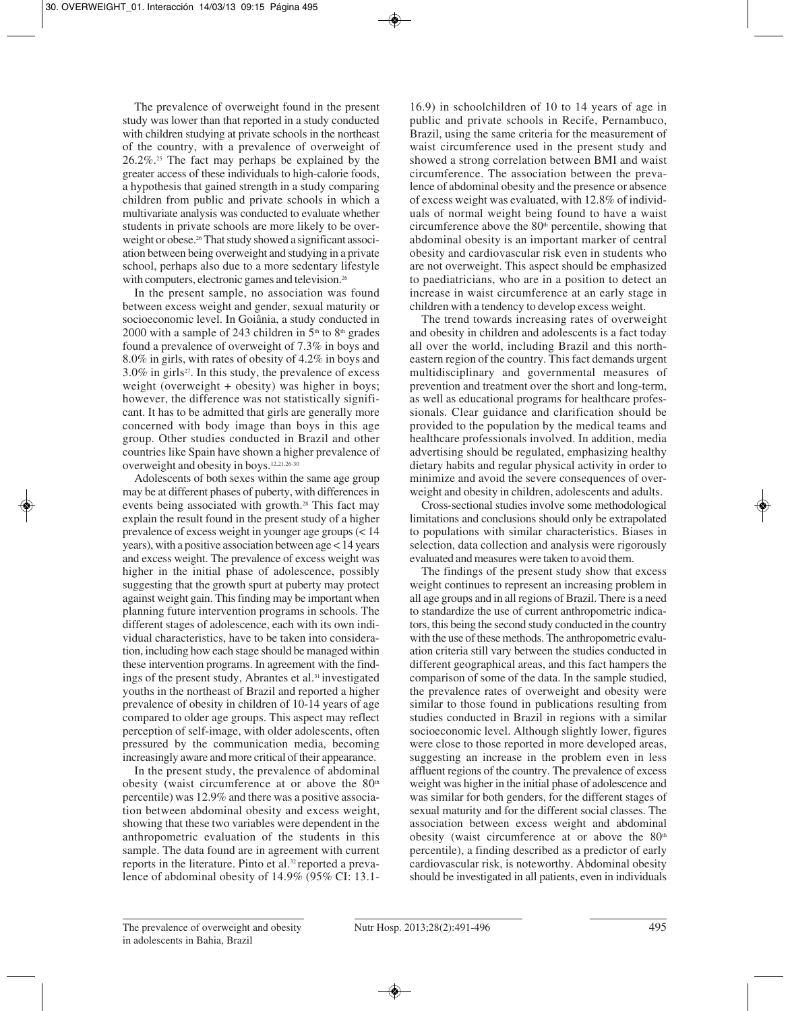The prevalence of overweight found in the present study was lower than that reported in a study conducted with children studying at private schools in the northeast of the country, with a prevalence of overweight of 26.2%.25 The fact may perhaps be explained by the greater access of these individuals to high-calorie foods, a hypothesis that gained strength in a study comparing children from public and private schools in which a multivariate analysis was conducted to evaluate whether students in private schools are more likely to be overweight or obese.<sup>26</sup> That study showed a significant association between being overweight and studying in a private school, perhaps also due to a more sedentary lifestyle with computers, electronic games and television.<sup>26</sup>

In the present sample, no association was found between excess weight and gender, sexual maturity or socioeconomic level. In Goiânia, a study conducted in 2000 with a sample of 243 children in  $5<sup>th</sup>$  to  $8<sup>th</sup>$  grades found a prevalence of overweight of 7.3% in boys and 8.0% in girls, with rates of obesity of 4.2% in boys and  $3.0\%$  in girls<sup>27</sup>. In this study, the prevalence of excess weight (overweight + obesity) was higher in boys; however, the difference was not statistically significant. It has to be admitted that girls are generally more concerned with body image than boys in this age group. Other studies conducted in Brazil and other countries like Spain have shown a higher prevalence of overweight and obesity in boys.12,21,26-30

Adolescents of both sexes within the same age group may be at different phases of puberty, with differences in events being associated with growth.28 This fact may explain the result found in the present study of a higher prevalence of excess weight in younger age groups (< 14 years), with a positive association between age < 14 years and excess weight. The prevalence of excess weight was higher in the initial phase of adolescence, possibly suggesting that the growth spurt at puberty may protect against weight gain. This finding may be important when planning future intervention programs in schools. The different stages of adolescence, each with its own individual characteristics, have to be taken into consideration, including how each stage should be managed within these intervention programs. In agreement with the findings of the present study, Abrantes et al.<sup>31</sup> investigated youths in the northeast of Brazil and reported a higher prevalence of obesity in children of 10-14 years of age compared to older age groups. This aspect may reflect perception of self-image, with older adolescents, often pressured by the communication media, becoming increasingly aware and more critical of their appearance.

In the present study, the prevalence of abdominal obesity (waist circumference at or above the  $80<sup>th</sup>$ percentile) was 12.9% and there was a positive association between abdominal obesity and excess weight, showing that these two variables were dependent in the anthropometric evaluation of the students in this sample. The data found are in agreement with current reports in the literature. Pinto et al.32 reported a prevalence of abdominal obesity of 14.9% (95% CI: 13.1-

16.9) in schoolchildren of 10 to 14 years of age in public and private schools in Recife, Pernambuco, Brazil, using the same criteria for the measurement of waist circumference used in the present study and showed a strong correlation between BMI and waist circumference. The association between the prevalence of abdominal obesity and the presence or absence of excess weight was evaluated, with 12.8% of individuals of normal weight being found to have a waist circumference above the  $80<sup>th</sup>$  percentile, showing that abdominal obesity is an important marker of central obesity and cardiovascular risk even in students who are not overweight. This aspect should be emphasized to paediatricians, who are in a position to detect an increase in waist circumference at an early stage in children with a tendency to develop excess weight.

The trend towards increasing rates of overweight and obesity in children and adolescents is a fact today all over the world, including Brazil and this northeastern region of the country. This fact demands urgent multidisciplinary and governmental measures of prevention and treatment over the short and long-term, as well as educational programs for healthcare professionals. Clear guidance and clarification should be provided to the population by the medical teams and healthcare professionals involved. In addition, media advertising should be regulated, emphasizing healthy dietary habits and regular physical activity in order to minimize and avoid the severe consequences of overweight and obesity in children, adolescents and adults.

Cross-sectional studies involve some methodological limitations and conclusions should only be extrapolated to populations with similar characteristics. Biases in selection, data collection and analysis were rigorously evaluated and measures were taken to avoid them.

The findings of the present study show that excess weight continues to represent an increasing problem in all age groups and in all regions of Brazil. There is a need to standardize the use of current anthropometric indicators, this being the second study conducted in the country with the use of these methods. The anthropometric evaluation criteria still vary between the studies conducted in different geographical areas, and this fact hampers the comparison of some of the data. In the sample studied, the prevalence rates of overweight and obesity were similar to those found in publications resulting from studies conducted in Brazil in regions with a similar socioeconomic level. Although slightly lower, figures were close to those reported in more developed areas, suggesting an increase in the problem even in less affluent regions of the country. The prevalence of excess weight was higher in the initial phase of adolescence and was similar for both genders, for the different stages of sexual maturity and for the different social classes. The association between excess weight and abdominal obesity (waist circumference at or above the  $80<sup>th</sup>$ percentile), a finding described as a predictor of early cardiovascular risk, is noteworthy. Abdominal obesity should be investigated in all patients, even in individuals